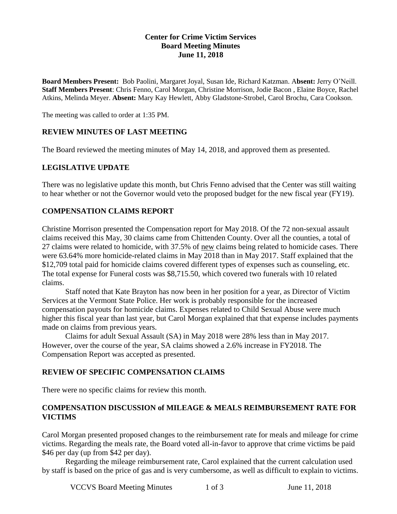## **Center for Crime Victim Services Board Meeting Minutes June 11, 2018**

**Board Members Present:** Bob Paolini, Margaret Joyal, Susan Ide, Richard Katzman. A**bsent:** Jerry O'Neill. **Staff Members Present**: Chris Fenno, Carol Morgan, Christine Morrison, Jodie Bacon , Elaine Boyce, Rachel Atkins, Melinda Meyer. **Absent:** Mary Kay Hewlett, Abby Gladstone-Strobel, Carol Brochu, Cara Cookson.

The meeting was called to order at 1:35 PM.

## **REVIEW MINUTES OF LAST MEETING**

The Board reviewed the meeting minutes of May 14, 2018, and approved them as presented.

## **LEGISLATIVE UPDATE**

There was no legislative update this month, but Chris Fenno advised that the Center was still waiting to hear whether or not the Governor would veto the proposed budget for the new fiscal year (FY19).

## **COMPENSATION CLAIMS REPORT**

Christine Morrison presented the Compensation report for May 2018. Of the 72 non-sexual assault claims received this May, 30 claims came from Chittenden County. Over all the counties, a total of 27 claims were related to homicide, with 37.5% of new claims being related to homicide cases. There were 63.64% more homicide-related claims in May 2018 than in May 2017. Staff explained that the \$12,709 total paid for homicide claims covered different types of expenses such as counseling, etc. The total expense for Funeral costs was \$8,715.50, which covered two funerals with 10 related claims.

Staff noted that Kate Brayton has now been in her position for a year, as Director of Victim Services at the Vermont State Police. Her work is probably responsible for the increased compensation payouts for homicide claims. Expenses related to Child Sexual Abuse were much higher this fiscal year than last year, but Carol Morgan explained that that expense includes payments made on claims from previous years.

Claims for adult Sexual Assault (SA) in May 2018 were 28% less than in May 2017. However, over the course of the year, SA claims showed a 2.6% increase in FY2018. The Compensation Report was accepted as presented.

#### **REVIEW OF SPECIFIC COMPENSATION CLAIMS**

There were no specific claims for review this month.

### **COMPENSATION DISCUSSION of MILEAGE & MEALS REIMBURSEMENT RATE FOR VICTIMS**

Carol Morgan presented proposed changes to the reimbursement rate for meals and mileage for crime victims. Regarding the meals rate, the Board voted all-in-favor to approve that crime victims be paid \$46 per day (up from \$42 per day).

Regarding the mileage reimbursement rate, Carol explained that the current calculation used by staff is based on the price of gas and is very cumbersome, as well as difficult to explain to victims.

VCCVS Board Meeting Minutes 1 of 3 June 11, 2018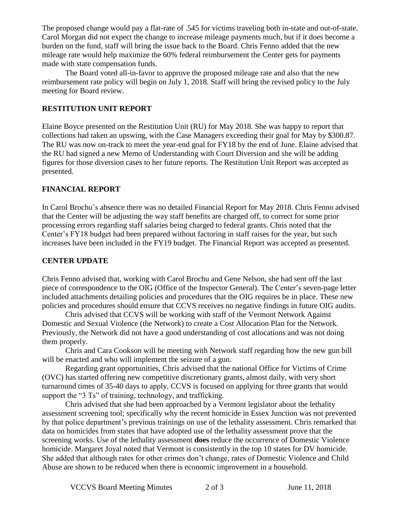The proposed change would pay a flat-rate of .545 for victims traveling both in-state and out-of-state. Carol Morgan did not expect the change to increase mileage payments much, but if it does become a burden on the fund, staff will bring the issue back to the Board. Chris Fenno added that the new mileage rate would help maximize the 60% federal reimbursement the Center gets for payments made with state compensation funds.

The Board voted all-in-favor to approve the proposed mileage rate and also that the new reimbursement rate policy will begin on July 1, 2018. Staff will bring the revised policy to the July meeting for Board review.

# **RESTITUTION UNIT REPORT**

Elaine Boyce presented on the Restitution Unit (RU) for May 2018. She was happy to report that collections had taken an upswing, with the Case Managers exceeding their goal for May by \$300.87. The RU was now on-track to meet the year-end goal for FY18 by the end of June. Elaine advised that the RU had signed a new Memo of Understanding with Court Diversion and she will be adding figures for those diversion cases to her future reports. The Restitution Unit Report was accepted as presented.

# **FINANCIAL REPORT**

In Carol Brochu's absence there was no detailed Financial Report for May 2018. Chris Fenno advised that the Center will be adjusting the way staff benefits are charged off, to correct for some prior processing errors regarding staff salaries being charged to federal grants. Chris noted that the Center's FY18 budget had been prepared without factoring in staff raises for the year, but such increases have been included in the FY19 budget. The Financial Report was accepted as presented.

## **CENTER UPDATE**

Chris Fenno advised that, working with Carol Brochu and Gene Nelson, she had sent off the last piece of correspondence to the OIG (Office of the Inspector General). The Center's seven-page letter included attachments detailing policies and procedures that the OIG requires be in place. These new policies and procedures should ensure that CCVS receives no negative findings in future OIG audits.

Chris advised that CCVS will be working with staff of the Vermont Network Against Domestic and Sexual Violence (the Network) to create a Cost Allocation Plan for the Network. Previously, the Network did not have a good understanding of cost allocations and was not doing them properly.

Chris and Cara Cookson will be meeting with Network staff regarding how the new gun bill will be enacted and who will implement the seizure of a gun.

Regarding grant opportunities, Chris advised that the national Office for Victims of Crime (OVC) has started offering new competitive discretionary grants, almost daily, with very short turnaround times of 35-40 days to apply. CCVS is focused on applying for three grants that would support the "3 Ts" of training, technology, and trafficking.

Chris advised that she had been approached by a Vermont legislator about the lethality assessment screening tool; specifically why the recent homicide in Essex Junction was not prevented by that police department's previous trainings on use of the lethality assessment. Chris remarked that data on homicides from states that have adopted use of the lethality assessment prove that the screening works. Use of the lethality assessment **does** reduce the occurrence of Domestic Violence homicide. Margaret Joyal noted that Vermont is consistently in the top 10 states for DV homicide. She added that although rates for other crimes don't change, rates of Domestic Violence and Child Abuse are shown to be reduced when there is economic improvement in a household.